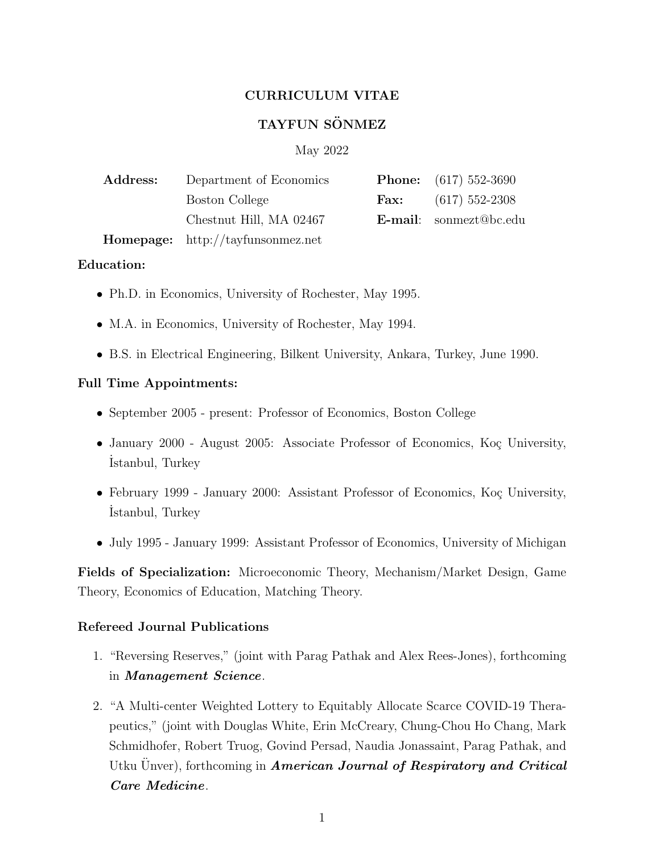## CURRICULUM VITAE

# TAYFUN SÖNMEZ

### May 2022

| Address: | Department of Economics                  |      | <b>Phone:</b> $(617)$ 552-3690 |
|----------|------------------------------------------|------|--------------------------------|
|          | Boston College                           | Fax: | $(617)$ 552-2308               |
|          | Chestnut Hill, MA 02467                  |      | <b>E-mail:</b> sonmezt@bc.edu  |
|          | <b>Homepage:</b> http://tayfunsonmez.net |      |                                |

### Education:

- Ph.D. in Economics, University of Rochester, May 1995.
- M.A. in Economics, University of Rochester, May 1994.
- B.S. in Electrical Engineering, Bilkent University, Ankara, Turkey, June 1990.

### Full Time Appointments:

- September 2005 present: Professor of Economics, Boston College
- January 2000 August 2005: Associate Professor of Economics, Koç University, ˙Istanbul, Turkey
- February 1999 January 2000: Assistant Professor of Economics, Koç University, ˙Istanbul, Turkey
- July 1995 January 1999: Assistant Professor of Economics, University of Michigan

Fields of Specialization: Microeconomic Theory, Mechanism/Market Design, Game Theory, Economics of Education, Matching Theory.

### Refereed Journal Publications

- 1. "Reversing Reserves," (joint with Parag Pathak and Alex Rees-Jones), forthcoming in Management Science.
- 2. "A Multi-center Weighted Lottery to Equitably Allocate Scarce COVID-19 Therapeutics," (joint with Douglas White, Erin McCreary, Chung-Chou Ho Chang, Mark Schmidhofer, Robert Truog, Govind Persad, Naudia Jonassaint, Parag Pathak, and Utku Unver), forthcoming in **American Journal of Respiratory and Critical** Care Medicine.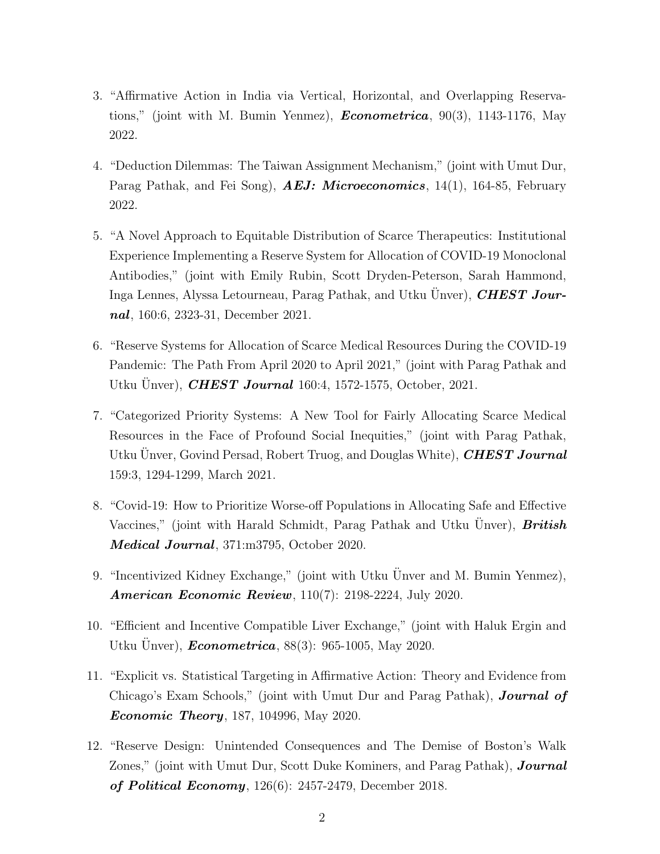- 3. "Affirmative Action in India via Vertical, Horizontal, and Overlapping Reservations," (joint with M. Bumin Yenmez), **Econometrica**,  $90(3)$ , 1143-1176, May 2022.
- 4. "Deduction Dilemmas: The Taiwan Assignment Mechanism," (joint with Umut Dur, Parag Pathak, and Fei Song), **AEJ: Microeconomics**, 14(1), 164-85, February 2022.
- 5. "A Novel Approach to Equitable Distribution of Scarce Therapeutics: Institutional Experience Implementing a Reserve System for Allocation of COVID-19 Monoclonal Antibodies," (joint with Emily Rubin, Scott Dryden-Peterson, Sarah Hammond, Inga Lennes, Alyssa Letourneau, Parag Pathak, and Utku Unver), **CHEST Jour**nal, 160:6, 2323-31, December 2021.
- 6. "Reserve Systems for Allocation of Scarce Medical Resources During the COVID-19 Pandemic: The Path From April 2020 to April 2021," (joint with Parag Pathak and Utku Ünver), *CHEST Journal* 160:4, 1572-1575, October, 2021.
- 7. "Categorized Priority Systems: A New Tool for Fairly Allocating Scarce Medical Resources in the Face of Profound Social Inequities," (joint with Parag Pathak, Utku Unver, Govind Persad, Robert Truog, and Douglas White), **CHEST Journal** 159:3, 1294-1299, March 2021.
- 8. "Covid-19: How to Prioritize Worse-off Populations in Allocating Safe and Effective Vaccines," (joint with Harald Schmidt, Parag Pathak and Utku Unver), British Medical Journal, 371:m3795, October 2020.
- 9. "Incentivized Kidney Exchange," (joint with Utku Unver and M. Bumin Yenmez), **American Economic Review**, 110(7): 2198-2224, July 2020.
- 10. "Efficient and Incentive Compatible Liver Exchange," (joint with Haluk Ergin and Utku Ünver),  $Econometrica$ , 88(3): 965-1005, May 2020.
- 11. "Explicit vs. Statistical Targeting in Affirmative Action: Theory and Evidence from Chicago's Exam Schools," (joint with Umut Dur and Parag Pathak), **Journal of Economic Theory**, 187, 104996, May 2020.
- 12. "Reserve Design: Unintended Consequences and The Demise of Boston's Walk Zones," (joint with Umut Dur, Scott Duke Kominers, and Parag Pathak), **Journal** of Political Economy, 126(6): 2457-2479, December 2018.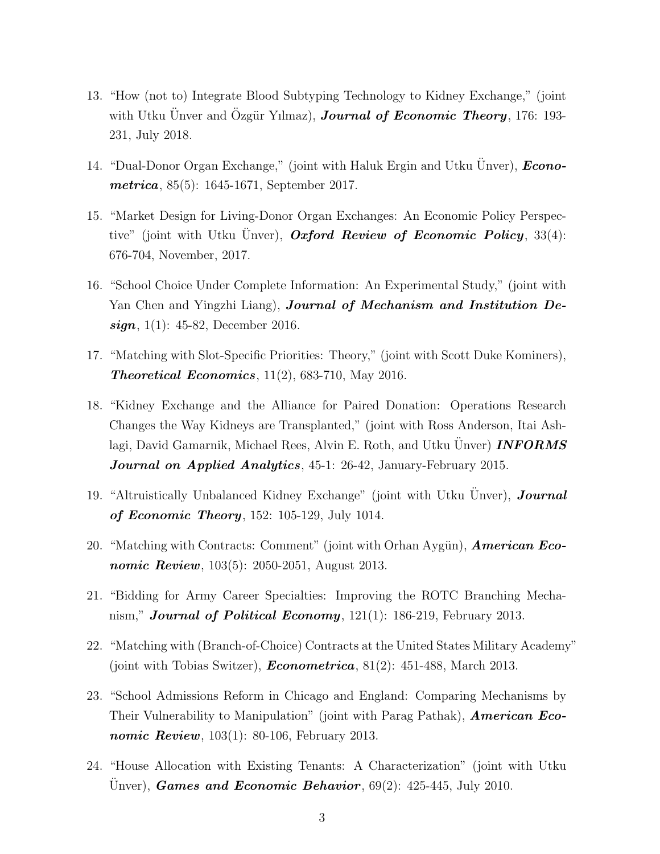- 13. "How (not to) Integrate Blood Subtyping Technology to Kidney Exchange," (joint with Utku Unver and Özgür Yılmaz), **Journal of Economic Theory**, 176: 193-231, July 2018.
- 14. "Dual-Donor Organ Exchange," (joint with Haluk Ergin and Utku Unver),  $Econo$ *metrica*, 85(5): 1645-1671, September 2017.
- 15. "Market Design for Living-Donor Organ Exchanges: An Economic Policy Perspective" (joint with Utku Unver), *Oxford Review of Economic Policy*,  $33(4)$ : 676-704, November, 2017.
- 16. "School Choice Under Complete Information: An Experimental Study," (joint with Yan Chen and Yingzhi Liang), **Journal of Mechanism and Institution De** $sign, 1(1): 45-82, December 2016.$
- 17. "Matching with Slot-Specific Priorities: Theory," (joint with Scott Duke Kominers), **Theoretical Economics**,  $11(2)$ , 683-710, May 2016.
- 18. "Kidney Exchange and the Alliance for Paired Donation: Operations Research Changes the Way Kidneys are Transplanted," (joint with Ross Anderson, Itai Ashlagi, David Gamarnik, Michael Rees, Alvin E. Roth, and Utku Unver) **INFORMS Journal on Applied Analytics**, 45-1: 26-42, January-February 2015.
- 19. "Altruistically Unbalanced Kidney Exchange" (joint with Utku Unver), **Journal** of Economic Theory, 152: 105-129, July 1014.
- 20. "Matching with Contracts: Comment" (joint with Orhan Aygün), **American Eco***nomic Review*,  $103(5)$ :  $2050-2051$ , August 2013.
- 21. "Bidding for Army Career Specialties: Improving the ROTC Branching Mechanism," **Journal of Political Economy**,  $121(1)$ : 186-219, February 2013.
- 22. "Matching with (Branch-of-Choice) Contracts at the United States Military Academy" (joint with Tobias Switzer), **Econometrica**,  $81(2)$ :  $451-488$ , March 2013.
- 23. "School Admissions Reform in Chicago and England: Comparing Mechanisms by Their Vulnerability to Manipulation" (joint with Parag Pathak), **American Eco***nomic Review*,  $103(1)$ : 80-106, February 2013.
- 24. "House Allocation with Existing Tenants: A Characterization" (joint with Utku Unver), *Games and Economic Behavior*,  $69(2)$ :  $425-445$ , July 2010.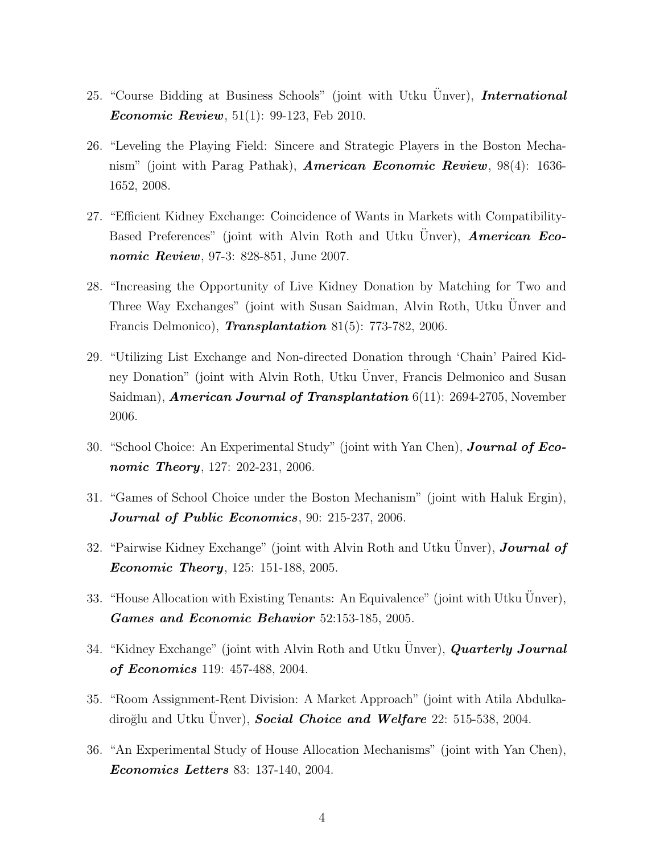- 25. "Course Bidding at Business Schools" (joint with Utku Unver), **International Economic Review**,  $51(1)$ : 99-123, Feb 2010.
- 26. "Leveling the Playing Field: Sincere and Strategic Players in the Boston Mechanism" (joint with Parag Pathak), **American Economic Review**,  $98(4)$ : 1636-1652, 2008.
- 27. "Efficient Kidney Exchange: Coincidence of Wants in Markets with Compatibility-Based Preferences" (joint with Alvin Roth and Utku Unver), **American Eco**nomic Review, 97-3: 828-851, June 2007.
- 28. "Increasing the Opportunity of Live Kidney Donation by Matching for Two and Three Way Exchanges" (joint with Susan Saidman, Alvin Roth, Utku Unver and ¨ Francis Delmonico), **Transplantation** 81(5): 773-782, 2006.
- 29. "Utilizing List Exchange and Non-directed Donation through 'Chain' Paired Kidney Donation" (joint with Alvin Roth, Utku Unver, Francis Delmonico and Susan Saidman), **American Journal of Transplantation**  $6(11)$ : 2694-2705, November 2006.
- 30. "School Choice: An Experimental Study" (joint with Yan Chen), **Journal of Eco***nomic Theory*,  $127: 202-231, 2006$ .
- 31. "Games of School Choice under the Boston Mechanism" (joint with Haluk Ergin), Journal of Public Economics, 90: 215-237, 2006.
- 32. "Pairwise Kidney Exchange" (joint with Alvin Roth and Utku Unver), **Journal of Economic Theory**, 125: 151-188, 2005.
- 33. "House Allocation with Existing Tenants: An Equivalence" (joint with Utku Unver), Games and Economic Behavior 52:153-185, 2005.
- 34. "Kidney Exchange" (joint with Alvin Roth and Utku Unver), **Quarterly Journal** of Economics 119: 457-488, 2004.
- 35. "Room Assignment-Rent Division: A Market Approach" (joint with Atila Abdulkadiroğlu and Utku Unver), **Social Choice and Welfare**  $22: 515-538, 2004$ .
- 36. "An Experimental Study of House Allocation Mechanisms" (joint with Yan Chen), Economics Letters 83: 137-140, 2004.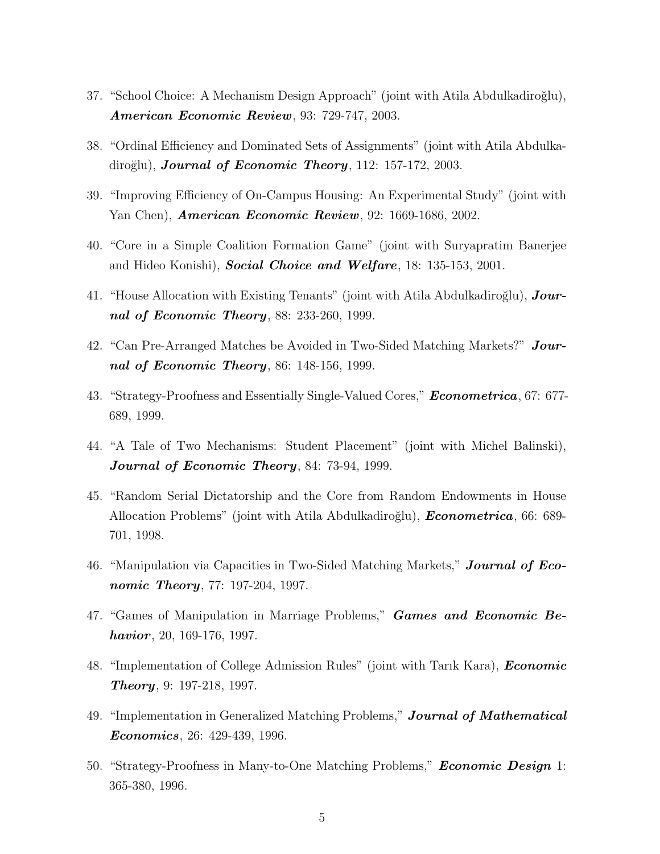- 37. "School Choice: A Mechanism Design Approach" (joint with Atila Abdulkadiroğlu), American Economic Review, 93: 729-747, 2003.
- 38. "Ordinal Efficiency and Dominated Sets of Assignments" (joint with Atila Abdulkadiroğlu), **Journal of Economic Theory**, 112: 157-172, 2003.
- 39. "Improving Efficiency of On-Campus Housing: An Experimental Study" (joint with Yan Chen), **American Economic Review**, 92: 1669-1686, 2002.
- 40. "Core in a Simple Coalition Formation Game" (joint with Suryapratim Banerjee and Hideo Konishi), **Social Choice and Welfare**, 18: 135-153, 2001.
- 41. "House Allocation with Existing Tenants" (joint with Atila Abdulkadiroğlu),  $Jour$ nal of Economic Theory,  $88: 233-260, 1999$ .
- 42. "Can Pre-Arranged Matches be Avoided in Two-Sided Matching Markets?" **Jour**nal of Economic Theory, 86: 148-156, 1999.
- 43. "Strategy-Proofness and Essentially Single-Valued Cores," Econometrica, 67: 677- 689, 1999.
- 44. "A Tale of Two Mechanisms: Student Placement" (joint with Michel Balinski), Journal of Economic Theory, 84: 73-94, 1999.
- 45. "Random Serial Dictatorship and the Core from Random Endowments in House Allocation Problems" (joint with Atila Abdulkadiroğlu), **Econometrica**, 66: 689-701, 1998.
- 46. "Manipulation via Capacities in Two-Sided Matching Markets," **Journal of Eco***nomic Theory*, 77: 197-204, 1997.
- 47. "Games of Manipulation in Marriage Problems," Games and Economic Be*havior*, 20, 169-176, 1997.
- 48. "Implementation of College Admission Rules" (joint with Tarik Kara), *Economic* **Theory**, 9: 197-218, 1997.
- 49. "Implementation in Generalized Matching Problems," **Journal of Mathematical** Economics, 26: 429-439, 1996.
- 50. "Strategy-Proofness in Many-to-One Matching Problems," **Economic Design** 1: 365-380, 1996.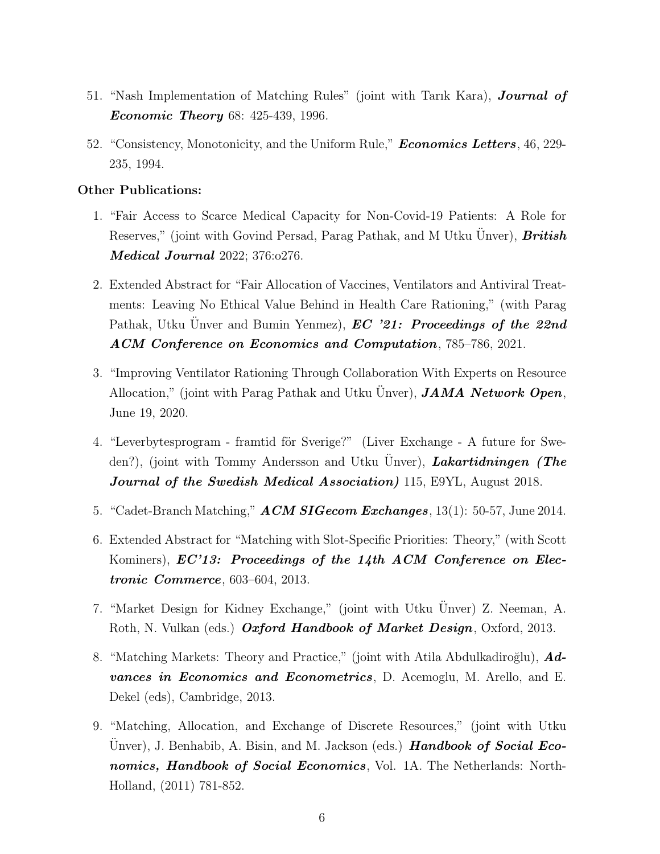- 51. "Nash Implementation of Matching Rules" (joint with Tarık Kara), Journal of **Economic Theory** 68: 425-439, 1996.
- 52. "Consistency, Monotonicity, and the Uniform Rule," **Economics Letters**, 46, 229-235, 1994.

### Other Publications:

- 1. "Fair Access to Scarce Medical Capacity for Non-Covid-19 Patients: A Role for Reserves," (joint with Govind Persad, Parag Pathak, and M Utku Unver), **British Medical Journal** 2022; 376:0276.
- 2. Extended Abstract for "Fair Allocation of Vaccines, Ventilators and Antiviral Treatments: Leaving No Ethical Value Behind in Health Care Rationing," (with Parag Pathak, Utku Unver and Bumin Yenmez),  $EC$  '21: Proceedings of the 22nd ACM Conference on Economics and Computation, 785–786, 2021.
- 3. "Improving Ventilator Rationing Through Collaboration With Experts on Resource Allocation," (joint with Parag Pathak and Utku Unver), **JAMA Network Open**, June 19, 2020.
- 4. "Leverbytesprogram framtid för Sverige?" (Liver Exchange A future for Sweden?), (joint with Tommy Andersson and Utku Unver), *Lakartidningen* (*The* Journal of the Swedish Medical Association) 115, E9YL, August 2018.
- 5. "Cadet-Branch Matching,"  $ACM SIGecom\ Exchanges, 13(1): 50-57, June 2014.$
- 6. Extended Abstract for "Matching with Slot-Specific Priorities: Theory," (with Scott Kominers), **EC'13:** Proceedings of the 14th ACM Conference on Elec*tronic Commerce*,  $603-604$ ,  $2013$ .
- 7. "Market Design for Kidney Exchange," (joint with Utku Unver) Z. Neeman, A. Roth, N. Vulkan (eds.) Oxford Handbook of Market Design, Oxford, 2013.
- 8. "Matching Markets: Theory and Practice," (joint with Atila Abdulkadiroğlu),  $\boldsymbol{A}$ dvances in Economics and Econometrics, D. Acemoglu, M. Arello, and E. Dekel (eds), Cambridge, 2013.
- 9. "Matching, Allocation, and Exchange of Discrete Resources," (joint with Utku Unver), J. Benhabib, A. Bisin, and M. Jackson (eds.) **Handbook of Social Eco**nomics, Handbook of Social Economics, Vol. 1A. The Netherlands: North-Holland, (2011) 781-852.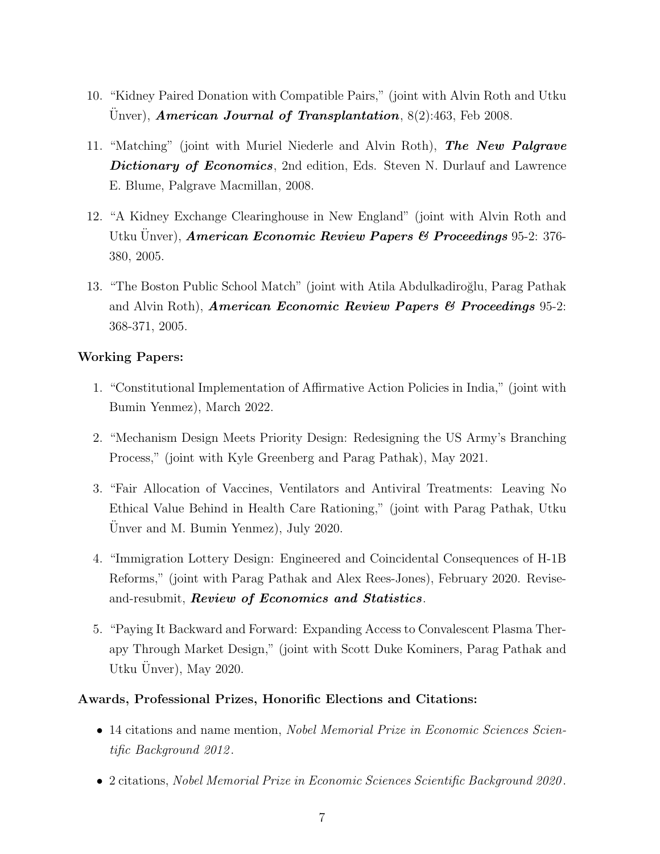- 10. "Kidney Paired Donation with Compatible Pairs," (joint with Alvin Roth and Utku Unver), American Journal of Transplantation,  $8(2):463$ , Feb 2008.
- 11. "Matching" (joint with Muriel Niederle and Alvin Roth), The New Palgrave Dictionary of Economics, 2nd edition, Eds. Steven N. Durlauf and Lawrence E. Blume, Palgrave Macmillan, 2008.
- 12. "A Kidney Exchange Clearinghouse in New England" (joint with Alvin Roth and Utku Unver), **American Economic Review Papers & Proceedings** 95-2: 376-380, 2005.
- 13. "The Boston Public School Match" (joint with Atila Abdulkadiroğlu, Parag Pathak and Alvin Roth), **American Economic Review Papers & Proceedings** 95-2: 368-371, 2005.

## Working Papers:

- 1. "Constitutional Implementation of Affirmative Action Policies in India," (joint with Bumin Yenmez), March 2022.
- 2. "Mechanism Design Meets Priority Design: Redesigning the US Army's Branching Process," (joint with Kyle Greenberg and Parag Pathak), May 2021.
- 3. "Fair Allocation of Vaccines, Ventilators and Antiviral Treatments: Leaving No Ethical Value Behind in Health Care Rationing," (joint with Parag Pathak, Utku  $\overline{U}$ nver and M. Bumin Yenmez), July 2020.
- 4. "Immigration Lottery Design: Engineered and Coincidental Consequences of H-1B Reforms," (joint with Parag Pathak and Alex Rees-Jones), February 2020. Reviseand-resubmit, Review of Economics and Statistics.
- 5. "Paying It Backward and Forward: Expanding Access to Convalescent Plasma Therapy Through Market Design," (joint with Scott Duke Kominers, Parag Pathak and Utku Unver), May 2020.

## Awards, Professional Prizes, Honorific Elections and Citations:

- 14 citations and name mention, Nobel Memorial Prize in Economic Sciences Scientific Background 2012 .
- 2 citations, Nobel Memorial Prize in Economic Sciences Scientific Background 2020.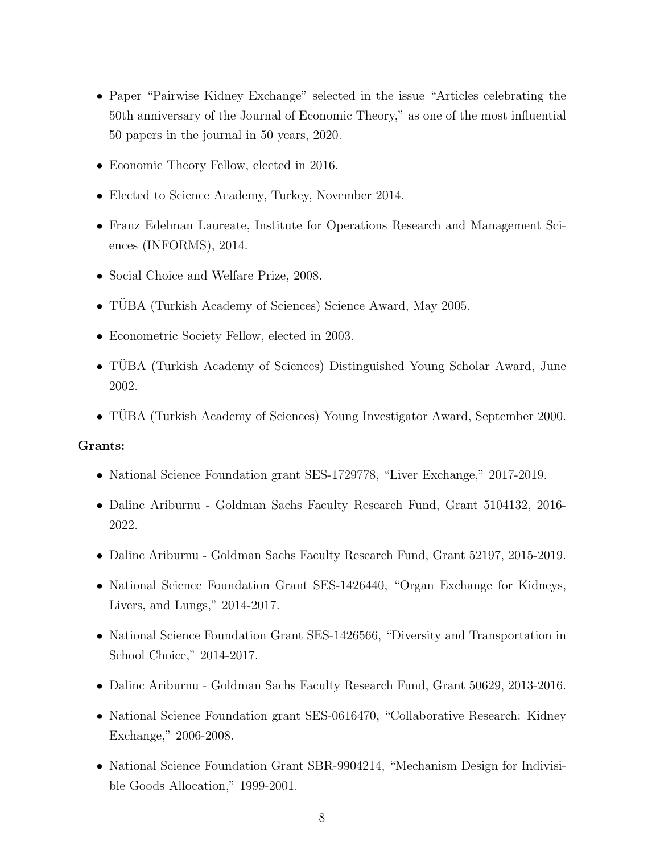- Paper "Pairwise Kidney Exchange" selected in the issue "Articles celebrating the 50th anniversary of the Journal of Economic Theory," as one of the most influential 50 papers in the journal in 50 years, 2020.
- Economic Theory Fellow, elected in 2016.
- Elected to Science Academy, Turkey, November 2014.
- Franz Edelman Laureate, Institute for Operations Research and Management Sciences (INFORMS), 2014.
- Social Choice and Welfare Prize, 2008.
- TÜBA (Turkish Academy of Sciences) Science Award, May 2005.
- Econometric Society Fellow, elected in 2003.
- TÜBA (Turkish Academy of Sciences) Distinguished Young Scholar Award, June 2002.
- TÜBA (Turkish Academy of Sciences) Young Investigator Award, September 2000.

### Grants:

- National Science Foundation grant SES-1729778, "Liver Exchange," 2017-2019.
- Dalinc Ariburnu Goldman Sachs Faculty Research Fund, Grant 5104132, 2016- 2022.
- Dalinc Ariburnu Goldman Sachs Faculty Research Fund, Grant 52197, 2015-2019.
- National Science Foundation Grant SES-1426440, "Organ Exchange for Kidneys, Livers, and Lungs," 2014-2017.
- National Science Foundation Grant SES-1426566, "Diversity and Transportation in School Choice," 2014-2017.
- Dalinc Ariburnu Goldman Sachs Faculty Research Fund, Grant 50629, 2013-2016.
- National Science Foundation grant SES-0616470, "Collaborative Research: Kidney Exchange," 2006-2008.
- National Science Foundation Grant SBR-9904214, "Mechanism Design for Indivisible Goods Allocation," 1999-2001.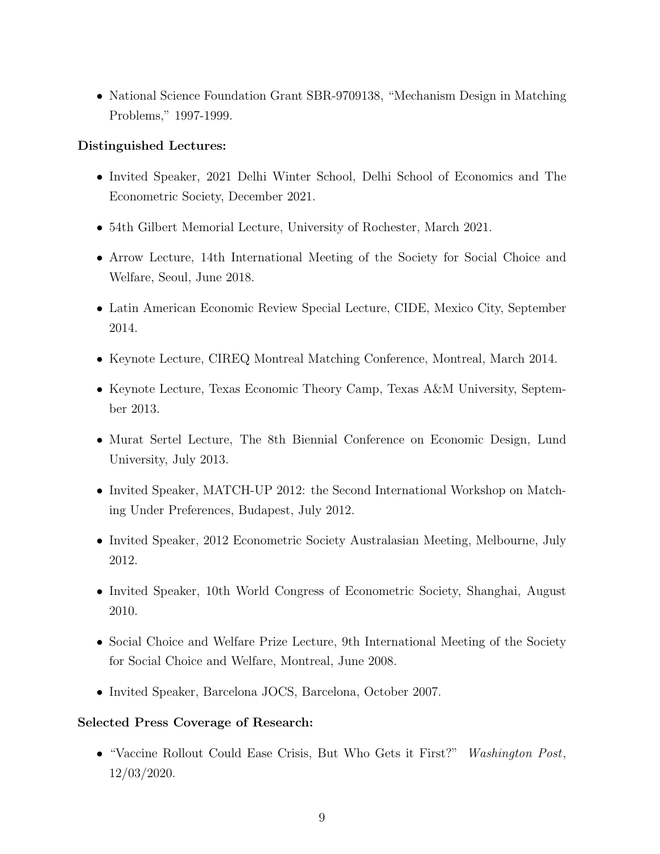• National Science Foundation Grant SBR-9709138, "Mechanism Design in Matching Problems," 1997-1999.

## Distinguished Lectures:

- Invited Speaker, 2021 Delhi Winter School, Delhi School of Economics and The Econometric Society, December 2021.
- 54th Gilbert Memorial Lecture, University of Rochester, March 2021.
- Arrow Lecture, 14th International Meeting of the Society for Social Choice and Welfare, Seoul, June 2018.
- Latin American Economic Review Special Lecture, CIDE, Mexico City, September 2014.
- Keynote Lecture, CIREQ Montreal Matching Conference, Montreal, March 2014.
- Keynote Lecture, Texas Economic Theory Camp, Texas A&M University, September 2013.
- Murat Sertel Lecture, The 8th Biennial Conference on Economic Design, Lund University, July 2013.
- Invited Speaker, MATCH-UP 2012: the Second International Workshop on Matching Under Preferences, Budapest, July 2012.
- Invited Speaker, 2012 Econometric Society Australasian Meeting, Melbourne, July 2012.
- Invited Speaker, 10th World Congress of Econometric Society, Shanghai, August 2010.
- Social Choice and Welfare Prize Lecture, 9th International Meeting of the Society for Social Choice and Welfare, Montreal, June 2008.
- Invited Speaker, Barcelona JOCS, Barcelona, October 2007.

## Selected Press Coverage of Research:

• "Vaccine Rollout Could Ease Crisis, But Who Gets it First?" Washington Post, 12/03/2020.